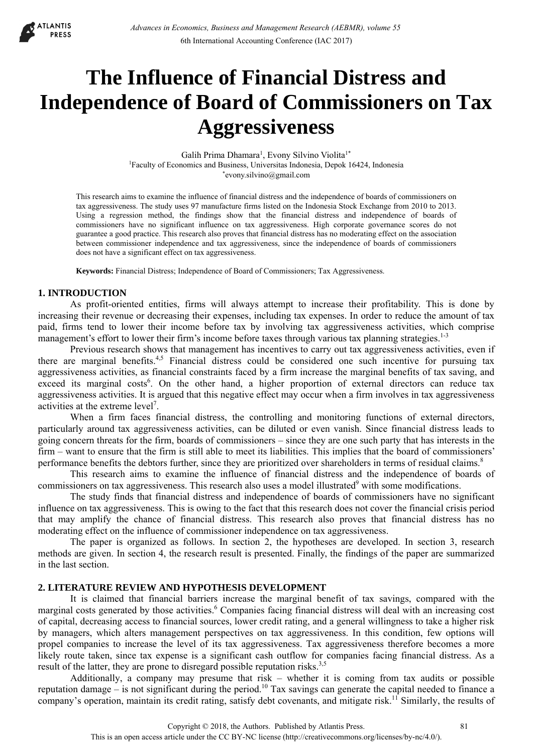

# **The Influence of Financial Distress and Independence of Board of Commissioners on Tax Aggressiveness**

Galih Prima Dhamara<sup>1</sup>, Evony Silvino Violita<sup>1\*</sup> 1Faculty of Economics and Business, Universitas Indonesia, Depok 16424, Indonesia \*evony.silvino@gmail.com

This research aims to examine the influence of financial distress and the independence of boards of commissioners on tax aggressiveness. The study uses 97 manufacture firms listed on the Indonesia Stock Exchange from 2010 to 2013. Using a regression method, the findings show that the financial distress and independence of boards of commissioners have no significant influence on tax aggressiveness. High corporate governance scores do not guarantee a good practice. This research also proves that financial distress has no moderating effect on the association between commissioner independence and tax aggressiveness, since the independence of boards of commissioners does not have a significant effect on tax aggressiveness.

**Keywords:** Financial Distress; Independence of Board of Commissioners; Tax Aggressiveness.

# **1. INTRODUCTION**

As profit-oriented entities, firms will always attempt to increase their profitability. This is done by increasing their revenue or decreasing their expenses, including tax expenses. In order to reduce the amount of tax paid, firms tend to lower their income before tax by involving tax aggressiveness activities, which comprise management's effort to lower their firm's income before taxes through various tax planning strategies.<sup>1-3</sup>

Previous research shows that management has incentives to carry out tax aggressiveness activities, even if there are marginal benefits.<sup>4,5</sup> Financial distress could be considered one such incentive for pursuing tax aggressiveness activities, as financial constraints faced by a firm increase the marginal benefits of tax saving, and exceed its marginal costs<sup>6</sup>. On the other hand, a higher proportion of external directors can reduce tax aggressiveness activities. It is argued that this negative effect may occur when a firm involves in tax aggressiveness activities at the extreme level<sup>7</sup>.

When a firm faces financial distress, the controlling and monitoring functions of external directors, particularly around tax aggressiveness activities, can be diluted or even vanish. Since financial distress leads to going concern threats for the firm, boards of commissioners – since they are one such party that has interests in the firm – want to ensure that the firm is still able to meet its liabilities. This implies that the board of commissioners' performance benefits the debtors further, since they are prioritized over shareholders in terms of residual claims.<sup>8</sup>

This research aims to examine the influence of financial distress and the independence of boards of commissioners on tax aggressiveness. This research also uses a model illustrated<sup>9</sup> with some modifications.

The study finds that financial distress and independence of boards of commissioners have no significant influence on tax aggressiveness. This is owing to the fact that this research does not cover the financial crisis period that may amplify the chance of financial distress. This research also proves that financial distress has no moderating effect on the influence of commissioner independence on tax aggressiveness.

The paper is organized as follows. In section 2, the hypotheses are developed. In section 3, research methods are given. In section 4, the research result is presented. Finally, the findings of the paper are summarized in the last section.

## **2. LITERATURE REVIEW AND HYPOTHESIS DEVELOPMENT**

It is claimed that financial barriers increase the marginal benefit of tax savings, compared with the marginal costs generated by those activities.<sup>6</sup> Companies facing financial distress will deal with an increasing cost of capital, decreasing access to financial sources, lower credit rating, and a general willingness to take a higher risk by managers, which alters management perspectives on tax aggressiveness. In this condition, few options will propel companies to increase the level of its tax aggressiveness. Tax aggressiveness therefore becomes a more likely route taken, since tax expense is a significant cash outflow for companies facing financial distress. As a result of the latter, they are prone to disregard possible reputation risks.<sup>3,5</sup>

Additionally, a company may presume that risk – whether it is coming from tax audits or possible reputation damage – is not significant during the period.10 Tax savings can generate the capital needed to finance a company's operation, maintain its credit rating, satisfy debt covenants, and mitigate risk.<sup>11</sup> Similarly, the results of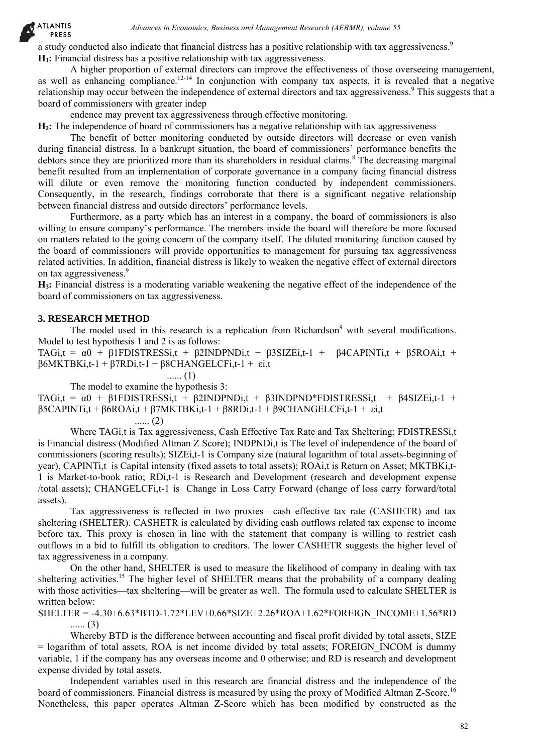**ATLANTIS PRESS** 

> a study conducted also indicate that financial distress has a positive relationship with tax aggressiveness.<sup>9</sup> **H1:** Financial distress has a positive relationship with tax aggressiveness.

A higher proportion of external directors can improve the effectiveness of those overseeing management, as well as enhancing compliance.<sup>12-14</sup> In conjunction with company tax aspects, it is revealed that a negative relationship may occur between the independence of external directors and tax aggressiveness.<sup>9</sup> This suggests that a board of commissioners with greater indep

endence may prevent tax aggressiveness through effective monitoring.

**H2:** The independence of board of commissioners has a negative relationship with tax aggressiveness

The benefit of better monitoring conducted by outside directors will decrease or even vanish during financial distress. In a bankrupt situation, the board of commissioners' performance benefits the debtors since they are prioritized more than its shareholders in residual claims.<sup>8</sup> The decreasing marginal benefit resulted from an implementation of corporate governance in a company facing financial distress will dilute or even remove the monitoring function conducted by independent commissioners. Consequently, in the research, findings corroborate that there is a significant negative relationship between financial distress and outside directors' performance levels.

Furthermore, as a party which has an interest in a company, the board of commissioners is also willing to ensure company's performance. The members inside the board will therefore be more focused on matters related to the going concern of the company itself. The diluted monitoring function caused by the board of commissioners will provide opportunities to management for pursuing tax aggressiveness related activities. In addition, financial distress is likely to weaken the negative effect of external directors on tax aggressiveness.<sup>9</sup>

**H3:** Financial distress is a moderating variable weakening the negative effect of the independence of the board of commissioners on tax aggressiveness.

## **3. RESEARCH METHOD**

The model used in this research is a replication from Richardson<sup>9</sup> with several modifications. Model to test hypothesis 1 and 2 is as follows:

TAGi,t =  $\alpha$ 0 + β1FDISTRESSi,t + β2INDPNDi,t + β3SIZEi,t-1 + β4CAPINTi,t + β5ROAi,t + β6MKTBKi,t-1 + β7RDi,t-1 + β8CHANGELCFi,t-1 + εi,t

...... (1)

The model to examine the hypothesis 3:

TAGi,t =  $\alpha$ 0 + β1FDISTRESSi,t + β2INDPNDi,t + β3INDPND\*FDISTRESSi,t + β4SIZEi,t-1 + β5CAPINTi,t + β6ROAi,t + β7MKTBKi,t-1 + β8RDi,t-1 + β9CHANGELCFi,t-1 + εi,t ...... (2)

Where TAG<sub>i,t</sub> is Tax aggressiveness, Cash Effective Tax Rate and Tax Sheltering; FDISTRESSi,t is Financial distress (Modified Altman Z Score); INDPNDi,t is The level of independence of the board of commissioners (scoring results); SIZEi,t-1 is Company size (natural logarithm of total assets-beginning of year), CAPINTi,t is Capital intensity (fixed assets to total assets); ROAi,t is Return on Asset; MKTBKi,t-1 is Market-to-book ratio; RDi,t-1 is Research and Development (research and development expense /total assets); CHANGELCFi,t-1 is Change in Loss Carry Forward (change of loss carry forward/total assets). *Absorts in Economics Business and Mangement Research (AEBMR), solaring 5*<br> *Advances in Economics Business and Mangement Research (AEBMR), where*  $\Delta t$  *and the conomic of external directors can mappy the SEC and Managemen* 

Tax aggressiveness is reflected in two proxies—cash effective tax rate (CASHETR) and tax sheltering (SHELTER). CASHETR is calculated by dividing cash outflows related tax expense to income before tax. This proxy is chosen in line with the statement that company is willing to restrict cash outflows in a bid to fulfill its obligation to creditors. The lower CASHETR suggests the higher level of tax aggressiveness in a company.

On the other hand, SHELTER is used to measure the likelihood of company in dealing with tax sheltering activities.<sup>15</sup> The higher level of SHELTER means that the probability of a company dealing with those activities—tax sheltering—will be greater as well. The formula used to calculate SHELTER is written below:

SHELTER = -4.30+6.63\*BTD-1.72\*LEV+0.66\*SIZE+2.26\*ROA+1.62\*FOREIGN\_INCOME+1.56\*RD ...... (3)

Whereby BTD is the difference between accounting and fiscal profit divided by total assets, SIZE = logarithm of total assets, ROA is net income divided by total assets; FOREIGN\_INCOM is dummy variable, 1 if the company has any overseas income and 0 otherwise; and RD is research and development expense divided by total assets.

Independent variables used in this research are financial distress and the independence of the board of commissioners. Financial distress is measured by using the proxy of Modified Altman Z-Score.<sup>16</sup> Nonetheless, this paper operates Altman Z-Score which has been modified by constructed as the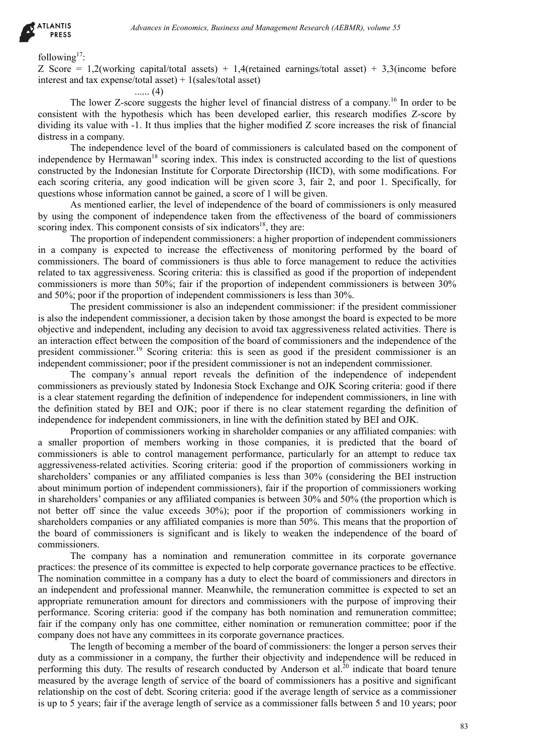

#### following<sup>17.</sup>

Z Score = 1,2(working capital/total assets) + 1,4(retained earnings/total asset) + 3,3(income before interest and tax expense/total asset) + 1(sales/total asset)

...... (4)

The lower Z-score suggests the higher level of financial distress of a company.<sup>16</sup> In order to be consistent with the hypothesis which has been developed earlier, this research modifies Z-score by dividing its value with -1. It thus implies that the higher modified Z score increases the risk of financial distress in a company.

The independence level of the board of commissioners is calculated based on the component of independence by Hermawan<sup>18</sup> scoring index. This index is constructed according to the list of questions constructed by the Indonesian Institute for Corporate Directorship (IICD), with some modifications. For each scoring criteria, any good indication will be given score 3, fair 2, and poor 1. Specifically, for questions whose information cannot be gained, a score of 1 will be given.

As mentioned earlier, the level of independence of the board of commissioners is only measured by using the component of independence taken from the effectiveness of the board of commissioners scoring index. This component consists of six indicators<sup>18</sup>, they are:

The proportion of independent commissioners: a higher proportion of independent commissioners in a company is expected to increase the effectiveness of monitoring performed by the board of commissioners. The board of commissioners is thus able to force management to reduce the activities related to tax aggressiveness. Scoring criteria: this is classified as good if the proportion of independent commissioners is more than 50%; fair if the proportion of independent commissioners is between 30% and 50%; poor if the proportion of independent commissioners is less than 30%.

The president commissioner is also an independent commissioner: if the president commissioner is also the independent commissioner, a decision taken by those amongst the board is expected to be more objective and independent, including any decision to avoid tax aggressiveness related activities. There is an interaction effect between the composition of the board of commissioners and the independence of the president commissioner.<sup>19</sup> Scoring criteria: this is seen as good if the president commissioner is an independent commissioner; poor if the president commissioner is not an independent commissioner.

The company's annual report reveals the definition of the independence of independent commissioners as previously stated by Indonesia Stock Exchange and OJK Scoring criteria: good if there is a clear statement regarding the definition of independence for independent commissioners, in line with the definition stated by BEI and OJK; poor if there is no clear statement regarding the definition of independence for independent commissioners, in line with the definition stated by BEI and OJK.

Proportion of commissioners working in shareholder companies or any affiliated companies: with a smaller proportion of members working in those companies, it is predicted that the board of commissioners is able to control management performance, particularly for an attempt to reduce tax aggressiveness-related activities. Scoring criteria: good if the proportion of commissioners working in shareholders' companies or any affiliated companies is less than 30% (considering the BEI instruction about minimum portion of independent commissioners), fair if the proportion of commissioners working in shareholders' companies or any affiliated companies is between 30% and 50% (the proportion which is not better off since the value exceeds 30%); poor if the proportion of commissioners working in shareholders companies or any affiliated companies is more than 50%. This means that the proportion of the board of commissioners is significant and is likely to weaken the independence of the board of commissioners. debiases in Economics, Business and Management Research (AEBMR), volume 53<br>
83 capital tossets) + 1 Aftersional carring-schost assets) + 3,Nincome before<br>
2001 ansets the higher level of financial distincs of a company<sup>15</sup>

The company has a nomination and remuneration committee in its corporate governance practices: the presence of its committee is expected to help corporate governance practices to be effective. The nomination committee in a company has a duty to elect the board of commissioners and directors in an independent and professional manner. Meanwhile, the remuneration committee is expected to set an appropriate remuneration amount for directors and commissioners with the purpose of improving their performance. Scoring criteria: good if the company has both nomination and remuneration committee; fair if the company only has one committee, either nomination or remuneration committee; poor if the company does not have any committees in its corporate governance practices.

The length of becoming a member of the board of commissioners: the longer a person serves their duty as a commissioner in a company, the further their objectivity and independence will be reduced in performing this duty. The results of research conducted by Anderson et al.<sup>20</sup> indicate that board tenure measured by the average length of service of the board of commissioners has a positive and significant relationship on the cost of debt. Scoring criteria: good if the average length of service as a commissioner is up to 5 years; fair if the average length of service as a commissioner falls between 5 and 10 years; poor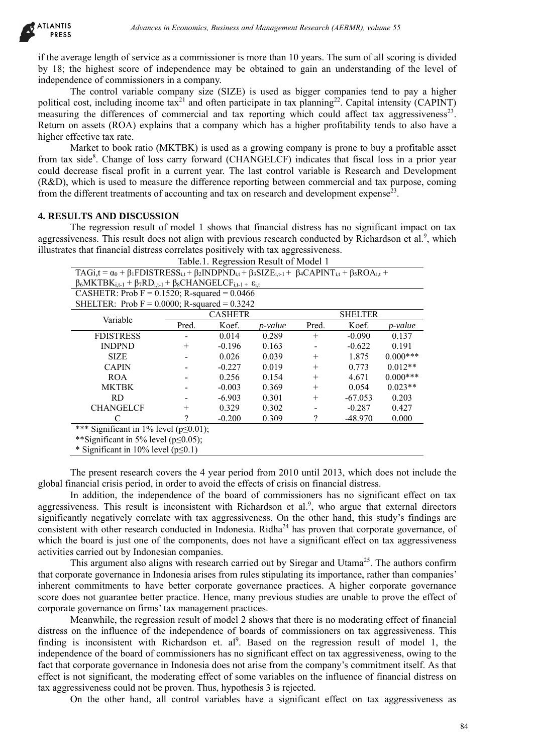

if the average length of service as a commissioner is more than 10 years. The sum of all scoring is divided by 18; the highest score of independence may be obtained to gain an understanding of the level of independence of commissioners in a company.

The control variable company size (SIZE) is used as bigger companies tend to pay a higher political cost, including income tax<sup>21</sup> and often participate in tax planning<sup>22</sup>. Capital intensity (CAPINT) measuring the differences of commercial and tax reporting which could affect tax aggressiveness<sup>23</sup>. Return on assets (ROA) explains that a company which has a higher profitability tends to also have a higher effective tax rate.

Market to book ratio (MKTBK) is used as a growing company is prone to buy a profitable asset from tax side<sup>8</sup>. Change of loss carry forward (CHANGELCF) indicates that fiscal loss in a prior year could decrease fiscal profit in a current year. The last control variable is Research and Development (R&D), which is used to measure the difference reporting between commercial and tax purpose, coming from the different treatments of accounting and tax on research and development expense<sup>23</sup>.

## **4. RESULTS AND DISCUSSION**

The regression result of model 1 shows that financial distress has no significant impact on tax aggressiveness. This result does not align with previous research conducted by Richardson et al.<sup>9</sup>, which illustrates that financial distress correlates positively with tax aggressiveness.

|                                                                                                                                                                                                                                                                                                                                                                                                                                                                                                                                                                                                                                                                                                                                                                                                                                                                                                                                                                                                                                                                                                                                                                                                                                                                                                                                                                                                                                                                                                                                                                                                                                                                                                                                                                                                                                                                                                                                                                                                                                                | Advances in Economics, Business and Management Research (AEBMR), volume 55 |                |                                       |        |                |            |    |
|------------------------------------------------------------------------------------------------------------------------------------------------------------------------------------------------------------------------------------------------------------------------------------------------------------------------------------------------------------------------------------------------------------------------------------------------------------------------------------------------------------------------------------------------------------------------------------------------------------------------------------------------------------------------------------------------------------------------------------------------------------------------------------------------------------------------------------------------------------------------------------------------------------------------------------------------------------------------------------------------------------------------------------------------------------------------------------------------------------------------------------------------------------------------------------------------------------------------------------------------------------------------------------------------------------------------------------------------------------------------------------------------------------------------------------------------------------------------------------------------------------------------------------------------------------------------------------------------------------------------------------------------------------------------------------------------------------------------------------------------------------------------------------------------------------------------------------------------------------------------------------------------------------------------------------------------------------------------------------------------------------------------------------------------|----------------------------------------------------------------------------|----------------|---------------------------------------|--------|----------------|------------|----|
| erage length of service as a commissioner is more than 10 years. The sum of all scoring is divided<br>the highest score of independence may be obtained to gain an understanding of the level of<br>dence of commissioners in a company.<br>The control variable company size (SIZE) is used as bigger companies tend to pay a higher<br>cost, including income $\text{tax}^{21}$ and often participate in tax planning <sup>22</sup> . Capital intensity (CAPINT)<br>ng the differences of commercial and tax reporting which could affect tax aggressiveness <sup>23</sup> .<br>on assets (ROA) explains that a company which has a higher profitability tends to also have a<br>ffective tax rate.<br>Market to book ratio (MKTBK) is used as a growing company is prone to buy a profitable asset<br>s side <sup>8</sup> . Change of loss carry forward (CHANGELCF) indicates that fiscal loss in a prior year<br>ecrease fiscal profit in a current year. The last control variable is Research and Development<br>which is used to measure the difference reporting between commercial and tax purpose, coming<br>different treatments of accounting and tax on research and development expense <sup>23</sup> .                                                                                                                                                                                                                                                                                                                                                                                                                                                                                                                                                                                                                                                                                                                                                                                                                         |                                                                            |                |                                       |        |                |            |    |
| <b>JLTS AND DISCUSSION</b>                                                                                                                                                                                                                                                                                                                                                                                                                                                                                                                                                                                                                                                                                                                                                                                                                                                                                                                                                                                                                                                                                                                                                                                                                                                                                                                                                                                                                                                                                                                                                                                                                                                                                                                                                                                                                                                                                                                                                                                                                     |                                                                            |                |                                       |        |                |            |    |
| The regression result of model 1 shows that financial distress has no significant impact on tax                                                                                                                                                                                                                                                                                                                                                                                                                                                                                                                                                                                                                                                                                                                                                                                                                                                                                                                                                                                                                                                                                                                                                                                                                                                                                                                                                                                                                                                                                                                                                                                                                                                                                                                                                                                                                                                                                                                                                |                                                                            |                |                                       |        |                |            |    |
| veness. This result does not align with previous research conducted by Richardson et al. <sup>9</sup> , which                                                                                                                                                                                                                                                                                                                                                                                                                                                                                                                                                                                                                                                                                                                                                                                                                                                                                                                                                                                                                                                                                                                                                                                                                                                                                                                                                                                                                                                                                                                                                                                                                                                                                                                                                                                                                                                                                                                                  |                                                                            |                |                                       |        |                |            |    |
| es that financial distress correlates positively with tax aggressiveness.                                                                                                                                                                                                                                                                                                                                                                                                                                                                                                                                                                                                                                                                                                                                                                                                                                                                                                                                                                                                                                                                                                                                                                                                                                                                                                                                                                                                                                                                                                                                                                                                                                                                                                                                                                                                                                                                                                                                                                      |                                                                            |                |                                       |        |                |            |    |
|                                                                                                                                                                                                                                                                                                                                                                                                                                                                                                                                                                                                                                                                                                                                                                                                                                                                                                                                                                                                                                                                                                                                                                                                                                                                                                                                                                                                                                                                                                                                                                                                                                                                                                                                                                                                                                                                                                                                                                                                                                                |                                                                            |                | Table.1. Regression Result of Model 1 |        |                |            |    |
| $TAGi,t = \alpha_0 + \beta_1 FDISTRESS_{i,t} + \beta_2 INDPND_{i,t} + \beta_3 SIZE_{i,t-1} + \beta_4 CAPINT_{i,t} + \beta_5 ROA_{i,t} +$                                                                                                                                                                                                                                                                                                                                                                                                                                                                                                                                                                                                                                                                                                                                                                                                                                                                                                                                                                                                                                                                                                                                                                                                                                                                                                                                                                                                                                                                                                                                                                                                                                                                                                                                                                                                                                                                                                       |                                                                            |                |                                       |        |                |            |    |
| $\beta_6 MKTBK_{i,t-1} + \beta_7 RD_{i,t-1} + \beta_8 CHANGELCF_{i,t-1} + \varepsilon_{i,t}$                                                                                                                                                                                                                                                                                                                                                                                                                                                                                                                                                                                                                                                                                                                                                                                                                                                                                                                                                                                                                                                                                                                                                                                                                                                                                                                                                                                                                                                                                                                                                                                                                                                                                                                                                                                                                                                                                                                                                   |                                                                            |                |                                       |        |                |            |    |
| CASHETR: Prob $F = 0.1520$ ; R-squared = 0.0466                                                                                                                                                                                                                                                                                                                                                                                                                                                                                                                                                                                                                                                                                                                                                                                                                                                                                                                                                                                                                                                                                                                                                                                                                                                                                                                                                                                                                                                                                                                                                                                                                                                                                                                                                                                                                                                                                                                                                                                                |                                                                            |                |                                       |        |                |            |    |
| SHELTER: Prob $F = 0.0000$ ; R-squared = 0.3242                                                                                                                                                                                                                                                                                                                                                                                                                                                                                                                                                                                                                                                                                                                                                                                                                                                                                                                                                                                                                                                                                                                                                                                                                                                                                                                                                                                                                                                                                                                                                                                                                                                                                                                                                                                                                                                                                                                                                                                                |                                                                            |                |                                       |        |                |            |    |
|                                                                                                                                                                                                                                                                                                                                                                                                                                                                                                                                                                                                                                                                                                                                                                                                                                                                                                                                                                                                                                                                                                                                                                                                                                                                                                                                                                                                                                                                                                                                                                                                                                                                                                                                                                                                                                                                                                                                                                                                                                                |                                                                            | <b>CASHETR</b> |                                       |        | <b>SHELTER</b> |            |    |
| Variable                                                                                                                                                                                                                                                                                                                                                                                                                                                                                                                                                                                                                                                                                                                                                                                                                                                                                                                                                                                                                                                                                                                                                                                                                                                                                                                                                                                                                                                                                                                                                                                                                                                                                                                                                                                                                                                                                                                                                                                                                                       | Pred.                                                                      | Koef.          | p-value                               | Pred.  | Koef.          | p-value    |    |
| <b>FDISTRESS</b>                                                                                                                                                                                                                                                                                                                                                                                                                                                                                                                                                                                                                                                                                                                                                                                                                                                                                                                                                                                                                                                                                                                                                                                                                                                                                                                                                                                                                                                                                                                                                                                                                                                                                                                                                                                                                                                                                                                                                                                                                               |                                                                            | 0.014          | 0.289                                 | $^{+}$ | $-0.090$       | 0.137      |    |
| <b>INDPND</b>                                                                                                                                                                                                                                                                                                                                                                                                                                                                                                                                                                                                                                                                                                                                                                                                                                                                                                                                                                                                                                                                                                                                                                                                                                                                                                                                                                                                                                                                                                                                                                                                                                                                                                                                                                                                                                                                                                                                                                                                                                  | $^{+}$                                                                     | $-0.196$       | 0.163                                 |        | $-0.622$       | 0.191      |    |
| <b>SIZE</b>                                                                                                                                                                                                                                                                                                                                                                                                                                                                                                                                                                                                                                                                                                                                                                                                                                                                                                                                                                                                                                                                                                                                                                                                                                                                                                                                                                                                                                                                                                                                                                                                                                                                                                                                                                                                                                                                                                                                                                                                                                    |                                                                            | 0.026          | 0.039                                 | $^{+}$ | 1.875          | $0.000***$ |    |
| <b>CAPIN</b>                                                                                                                                                                                                                                                                                                                                                                                                                                                                                                                                                                                                                                                                                                                                                                                                                                                                                                                                                                                                                                                                                                                                                                                                                                                                                                                                                                                                                                                                                                                                                                                                                                                                                                                                                                                                                                                                                                                                                                                                                                   |                                                                            | $-0.227$       | 0.019                                 | $^{+}$ | 0.773          | $0.012**$  |    |
| <b>ROA</b>                                                                                                                                                                                                                                                                                                                                                                                                                                                                                                                                                                                                                                                                                                                                                                                                                                                                                                                                                                                                                                                                                                                                                                                                                                                                                                                                                                                                                                                                                                                                                                                                                                                                                                                                                                                                                                                                                                                                                                                                                                     |                                                                            | 0.256          | 0.154                                 | $^{+}$ | 4.671          | $0.000***$ |    |
| <b>MKTBK</b>                                                                                                                                                                                                                                                                                                                                                                                                                                                                                                                                                                                                                                                                                                                                                                                                                                                                                                                                                                                                                                                                                                                                                                                                                                                                                                                                                                                                                                                                                                                                                                                                                                                                                                                                                                                                                                                                                                                                                                                                                                   |                                                                            | $-0.003$       | 0.369                                 | $^{+}$ | 0.054          | $0.023**$  |    |
| <b>RD</b>                                                                                                                                                                                                                                                                                                                                                                                                                                                                                                                                                                                                                                                                                                                                                                                                                                                                                                                                                                                                                                                                                                                                                                                                                                                                                                                                                                                                                                                                                                                                                                                                                                                                                                                                                                                                                                                                                                                                                                                                                                      |                                                                            | $-6.903$       | 0.301                                 | $^+$   | $-67.053$      | 0.203      |    |
| <b>CHANGELCF</b>                                                                                                                                                                                                                                                                                                                                                                                                                                                                                                                                                                                                                                                                                                                                                                                                                                                                                                                                                                                                                                                                                                                                                                                                                                                                                                                                                                                                                                                                                                                                                                                                                                                                                                                                                                                                                                                                                                                                                                                                                               | $+$                                                                        | 0.329          | 0.302                                 |        | $-0.287$       | 0.427      |    |
| C                                                                                                                                                                                                                                                                                                                                                                                                                                                                                                                                                                                                                                                                                                                                                                                                                                                                                                                                                                                                                                                                                                                                                                                                                                                                                                                                                                                                                                                                                                                                                                                                                                                                                                                                                                                                                                                                                                                                                                                                                                              | $\gamma$                                                                   | $-0.200$       | 0.309                                 | ?      | $-48.970$      | 0.000      |    |
| *** Significant in 1% level ( $p \le 0.01$ );                                                                                                                                                                                                                                                                                                                                                                                                                                                                                                                                                                                                                                                                                                                                                                                                                                                                                                                                                                                                                                                                                                                                                                                                                                                                                                                                                                                                                                                                                                                                                                                                                                                                                                                                                                                                                                                                                                                                                                                                  |                                                                            |                |                                       |        |                |            |    |
| **Significant in 5% level ( $p \le 0.05$ );                                                                                                                                                                                                                                                                                                                                                                                                                                                                                                                                                                                                                                                                                                                                                                                                                                                                                                                                                                                                                                                                                                                                                                                                                                                                                                                                                                                                                                                                                                                                                                                                                                                                                                                                                                                                                                                                                                                                                                                                    |                                                                            |                |                                       |        |                |            |    |
| * Significant in 10% level (p < 0.1)                                                                                                                                                                                                                                                                                                                                                                                                                                                                                                                                                                                                                                                                                                                                                                                                                                                                                                                                                                                                                                                                                                                                                                                                                                                                                                                                                                                                                                                                                                                                                                                                                                                                                                                                                                                                                                                                                                                                                                                                           |                                                                            |                |                                       |        |                |            |    |
|                                                                                                                                                                                                                                                                                                                                                                                                                                                                                                                                                                                                                                                                                                                                                                                                                                                                                                                                                                                                                                                                                                                                                                                                                                                                                                                                                                                                                                                                                                                                                                                                                                                                                                                                                                                                                                                                                                                                                                                                                                                |                                                                            |                |                                       |        |                |            |    |
| The present research covers the 4 year period from 2010 until 2013, which does not include the<br>nancial crisis period, in order to avoid the effects of crisis on financial distress.<br>In addition, the independence of the board of commissioners has no significant effect on tax<br>veness. This result is inconsistent with Richardson et al. <sup>9</sup> , who argue that external directors<br>intly negatively correlate with tax aggressiveness. On the other hand, this study's findings are<br>nt with other research conducted in Indonesia. Ridha <sup>24</sup> has proven that corporate governance, of<br>ne board is just one of the components, does not have a significant effect on tax aggressiveness<br>s carried out by Indonesian companies.<br>This argument also aligns with research carried out by Siregar and Utama <sup>25</sup> . The authors confirm<br>oorate governance in Indonesia arises from rules stipulating its importance, rather than companies'<br>commitments to have better corporate governance practices. A higher corporate governance<br>bes not guarantee better practice. Hence, many previous studies are unable to prove the effect of<br>e governance on firms' tax management practices.<br>Meanwhile, the regression result of model 2 shows that there is no moderating effect of financial<br>on the influence of the independence of boards of commissioners on tax aggressiveness. This<br>is inconsistent with Richardson et. al <sup>9</sup> . Based on the regression result of model 1, the<br>dence of the board of commissioners has no significant effect on tax aggressiveness, owing to the<br>corporate governance in Indonesia does not arise from the company's commitment itself. As that<br>not significant, the moderating effect of some variables on the influence of financial distress on<br>essiveness could not be proven. Thus, hypothesis 3 is rejected.<br>On the other hand, all control variables have a significant effect on tax aggressiveness as |                                                                            |                |                                       |        |                |            |    |
|                                                                                                                                                                                                                                                                                                                                                                                                                                                                                                                                                                                                                                                                                                                                                                                                                                                                                                                                                                                                                                                                                                                                                                                                                                                                                                                                                                                                                                                                                                                                                                                                                                                                                                                                                                                                                                                                                                                                                                                                                                                |                                                                            |                |                                       |        |                |            | 84 |
|                                                                                                                                                                                                                                                                                                                                                                                                                                                                                                                                                                                                                                                                                                                                                                                                                                                                                                                                                                                                                                                                                                                                                                                                                                                                                                                                                                                                                                                                                                                                                                                                                                                                                                                                                                                                                                                                                                                                                                                                                                                |                                                                            |                |                                       |        |                |            |    |

The present research covers the 4 year period from 2010 until 2013, which does not include the global financial crisis period, in order to avoid the effects of crisis on financial distress.

In addition, the independence of the board of commissioners has no significant effect on tax aggressiveness. This result is inconsistent with Richardson et al.<sup>9</sup>, who argue that external directors significantly negatively correlate with tax aggressiveness. On the other hand, this study's findings are consistent with other research conducted in Indonesia. Ridha<sup>24</sup> has proven that corporate governance, of which the board is just one of the components, does not have a significant effect on tax aggressiveness activities carried out by Indonesian companies.

This argument also aligns with research carried out by Siregar and Utama<sup>25</sup>. The authors confirm that corporate governance in Indonesia arises from rules stipulating its importance, rather than companies' inherent commitments to have better corporate governance practices. A higher corporate governance score does not guarantee better practice. Hence, many previous studies are unable to prove the effect of corporate governance on firms' tax management practices.

Meanwhile, the regression result of model 2 shows that there is no moderating effect of financial distress on the influence of the independence of boards of commissioners on tax aggressiveness. This finding is inconsistent with Richardson et.  $al^9$ . Based on the regression result of model 1, the independence of the board of commissioners has no significant effect on tax aggressiveness, owing to the fact that corporate governance in Indonesia does not arise from the company's commitment itself. As that effect is not significant, the moderating effect of some variables on the influence of financial distress on tax aggressiveness could not be proven. Thus, hypothesis 3 is rejected.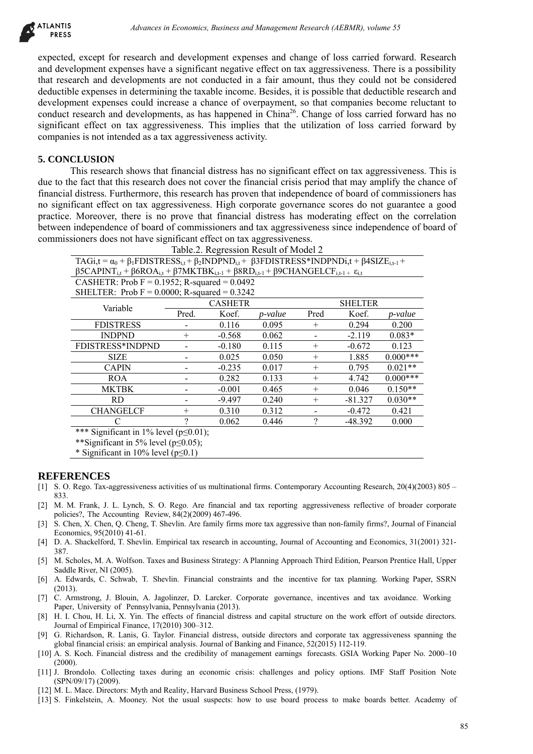

expected, except for research and development expenses and change of loss carried forward. Research and development expenses have a significant negative effect on tax aggressiveness. There is a possibility that research and developments are not conducted in a fair amount, thus they could not be considered deductible expenses in determining the taxable income. Besides, it is possible that deductible research and development expenses could increase a chance of overpayment, so that companies become reluctant to conduct research and developments, as has happened in China<sup>26</sup>. Change of loss carried forward has no significant effect on tax aggressiveness. This implies that the utilization of loss carried forward by companies is not intended as a tax aggressiveness activity.

## **5. CONCLUSION**

This research shows that financial distress has no significant effect on tax aggressiveness. This is due to the fact that this research does not cover the financial crisis period that may amplify the chance of financial distress. Furthermore, this research has proven that independence of board of commissioners has no significant effect on tax aggressiveness. High corporate governance scores do not guarantee a good practice. Moreover, there is no prove that financial distress has moderating effect on the correlation between independence of board of commissioners and tax aggressiveness since independence of board of commissioners does not have significant effect on tax aggressiveness. Table.2. Regression Result of Model 2

|                                                                                                                                                                                                                                                                                                                                                                                                                                                                                                                                                                                                                                                                                                                                                                                  |          | Advances in Economics, Business and Management Research (AEBMR), volume 55 |                  |                |                |                   |    |
|----------------------------------------------------------------------------------------------------------------------------------------------------------------------------------------------------------------------------------------------------------------------------------------------------------------------------------------------------------------------------------------------------------------------------------------------------------------------------------------------------------------------------------------------------------------------------------------------------------------------------------------------------------------------------------------------------------------------------------------------------------------------------------|----------|----------------------------------------------------------------------------|------------------|----------------|----------------|-------------------|----|
| l, except for research and development expenses and change of loss carried forward. Research<br>elopment expenses have a significant negative effect on tax aggressiveness. There is a possibility<br>earch and developments are not conducted in a fair amount, thus they could not be considered<br>le expenses in determining the taxable income. Besides, it is possible that deductible research and<br>ment expenses could increase a chance of overpayment, so that companies become reluctant to<br>research and developments, as has happened in China <sup>26</sup> . Change of loss carried forward has no<br>ant effect on tax aggressiveness. This implies that the utilization of loss carried forward by<br>les is not intended as a tax aggressiveness activity. |          |                                                                            |                  |                |                |                   |    |
| <b>CLUSION</b>                                                                                                                                                                                                                                                                                                                                                                                                                                                                                                                                                                                                                                                                                                                                                                   |          |                                                                            |                  |                |                |                   |    |
| This research shows that financial distress has no significant effect on tax aggressiveness. This is                                                                                                                                                                                                                                                                                                                                                                                                                                                                                                                                                                                                                                                                             |          |                                                                            |                  |                |                |                   |    |
| e fact that this research does not cover the financial crisis period that may amplify the chance of                                                                                                                                                                                                                                                                                                                                                                                                                                                                                                                                                                                                                                                                              |          |                                                                            |                  |                |                |                   |    |
| I distress. Furthermore, this research has proven that independence of board of commissioners has                                                                                                                                                                                                                                                                                                                                                                                                                                                                                                                                                                                                                                                                                |          |                                                                            |                  |                |                |                   |    |
| ficant effect on tax aggressiveness. High corporate governance scores do not guarantee a good                                                                                                                                                                                                                                                                                                                                                                                                                                                                                                                                                                                                                                                                                    |          |                                                                            |                  |                |                |                   |    |
| Moreover, there is no prove that financial distress has moderating effect on the correlation                                                                                                                                                                                                                                                                                                                                                                                                                                                                                                                                                                                                                                                                                     |          |                                                                            |                  |                |                |                   |    |
| independence of board of commissioners and tax aggressiveness since independence of board of                                                                                                                                                                                                                                                                                                                                                                                                                                                                                                                                                                                                                                                                                     |          |                                                                            |                  |                |                |                   |    |
| sioners does not have significant effect on tax aggressiveness.                                                                                                                                                                                                                                                                                                                                                                                                                                                                                                                                                                                                                                                                                                                  |          |                                                                            |                  |                |                |                   |    |
|                                                                                                                                                                                                                                                                                                                                                                                                                                                                                                                                                                                                                                                                                                                                                                                  |          | Table.2. Regression Result of Model 2                                      |                  |                |                |                   |    |
| $TAGi,t = \alpha_0 + \beta_1 FDISTRESS_{i,t} + \beta_2 INDPND_{i,t} + \beta 3 FDISTRESS*INDPNDi,t + \beta 4 SIZE_{i,t-1} +$                                                                                                                                                                                                                                                                                                                                                                                                                                                                                                                                                                                                                                                      |          |                                                                            |                  |                |                |                   |    |
| $\beta$ 5CAPINT <sub>i,t</sub> + $\beta$ 6ROA <sub>i,t</sub> + $\beta$ 7MKTBK <sub>i,t-1</sub> + $\beta$ 8RD <sub>i,t-1</sub> + $\beta$ 9CHANGELCF <sub>i,t-1</sub> + $\varepsilon_{i,t}$                                                                                                                                                                                                                                                                                                                                                                                                                                                                                                                                                                                        |          |                                                                            |                  |                |                |                   |    |
| CASHETR: Prob $F = 0.1952$ ; R-squared = 0.0492                                                                                                                                                                                                                                                                                                                                                                                                                                                                                                                                                                                                                                                                                                                                  |          |                                                                            |                  |                |                |                   |    |
| SHELTER: Prob $F = 0.0000$ ; R-squared = 0.3242                                                                                                                                                                                                                                                                                                                                                                                                                                                                                                                                                                                                                                                                                                                                  |          |                                                                            |                  |                |                |                   |    |
| Variable                                                                                                                                                                                                                                                                                                                                                                                                                                                                                                                                                                                                                                                                                                                                                                         |          | <b>CASHETR</b>                                                             |                  |                | <b>SHELTER</b> |                   |    |
| <b>FDISTRESS</b>                                                                                                                                                                                                                                                                                                                                                                                                                                                                                                                                                                                                                                                                                                                                                                 | Pred.    | Koef.<br>0.116                                                             | p-value<br>0.095 | Pred<br>$^{+}$ | Koef.<br>0.294 | p-value           |    |
| <b>INDPND</b>                                                                                                                                                                                                                                                                                                                                                                                                                                                                                                                                                                                                                                                                                                                                                                    | $^{+}$   | $-0.568$                                                                   | 0.062            |                | $-2.119$       | 0.200<br>$0.083*$ |    |
| FDISTRESS*INDPND                                                                                                                                                                                                                                                                                                                                                                                                                                                                                                                                                                                                                                                                                                                                                                 |          | $-0.180$                                                                   | 0.115            | $^{+}$         | $-0.672$       | 0.123             |    |
| <b>SIZE</b>                                                                                                                                                                                                                                                                                                                                                                                                                                                                                                                                                                                                                                                                                                                                                                      |          | 0.025                                                                      | 0.050            | $^{+}$         | 1.885          | $0.000***$        |    |
| <b>CAPIN</b>                                                                                                                                                                                                                                                                                                                                                                                                                                                                                                                                                                                                                                                                                                                                                                     |          | $-0.235$                                                                   | 0.017            | $^{+}$         | 0.795          | $0.021**$         |    |
| <b>ROA</b>                                                                                                                                                                                                                                                                                                                                                                                                                                                                                                                                                                                                                                                                                                                                                                       |          | 0.282                                                                      | 0.133            | $^{+}$         | 4.742          | $0.000***$        |    |
| <b>MKTBK</b>                                                                                                                                                                                                                                                                                                                                                                                                                                                                                                                                                                                                                                                                                                                                                                     |          | $-0.001$                                                                   | 0.465            | $^{+}$         | 0.046          | $0.150**$         |    |
| <b>RD</b>                                                                                                                                                                                                                                                                                                                                                                                                                                                                                                                                                                                                                                                                                                                                                                        |          | $-9.497$                                                                   | 0.240            | $^{+}$         | $-81.327$      | $0.030**$         |    |
| <b>CHANGELCF</b>                                                                                                                                                                                                                                                                                                                                                                                                                                                                                                                                                                                                                                                                                                                                                                 | $^{+}$   | 0.310                                                                      | 0.312            |                | $-0.472$       | 0.421             |    |
| $\mathcal{C}$                                                                                                                                                                                                                                                                                                                                                                                                                                                                                                                                                                                                                                                                                                                                                                    | $\gamma$ | 0.062                                                                      | 0.446            | $\gamma$       | $-48.392$      | 0.000             |    |
| *** Significant in 1% level ( $p \le 0.01$ );<br>**Significant in 5% level ( $p \le 0.05$ );<br>* Significant in 10% level ( $p \le 0.1$ )                                                                                                                                                                                                                                                                                                                                                                                                                                                                                                                                                                                                                                       |          |                                                                            |                  |                |                |                   |    |
| <b>RENCES</b><br>Rego. Tax-aggressiveness activities of us multinational firms. Contemporary Accounting Research, 20(4)(2003) 805 –                                                                                                                                                                                                                                                                                                                                                                                                                                                                                                                                                                                                                                              |          |                                                                            |                  |                |                |                   |    |
| 1. Frank, J. L. Lynch, S. O. Rego. Are financial and tax reporting aggressiveness reflective of broader corporate<br>ies?, The Accounting Review, 84(2)(2009) 467-496.<br>en, X. Chen, Q. Cheng, T. Shevlin. Are family firms more tax aggressive than non-family firms?, Journal of Financial<br>omics, 95(2010) 41-61.                                                                                                                                                                                                                                                                                                                                                                                                                                                         |          |                                                                            |                  |                |                |                   |    |
| Shackelford, T. Shevlin. Empirical tax research in accounting, Journal of Accounting and Economics, 31(2001) 321-                                                                                                                                                                                                                                                                                                                                                                                                                                                                                                                                                                                                                                                                |          |                                                                            |                  |                |                |                   |    |
| choles, M. A. Wolfson. Taxes and Business Strategy: A Planning Approach Third Edition, Pearson Prentice Hall, Upper<br>le River, NI (2005).<br>dwards, C. Schwab, T. Shevlin. Financial constraints and the incentive for tax planning. Working Paper, SSRN                                                                                                                                                                                                                                                                                                                                                                                                                                                                                                                      |          |                                                                            |                  |                |                |                   |    |
| 3).                                                                                                                                                                                                                                                                                                                                                                                                                                                                                                                                                                                                                                                                                                                                                                              |          |                                                                            |                  |                |                |                   |    |
| rmstrong, J. Blouin, A. Jagolinzer, D. Larcker. Corporate governance, incentives and tax avoidance. Working<br>r, University of Pennsylvania, Pennsylvania (2013).<br>Chou, H. Li, X. Yin. The effects of financial distress and capital structure on the work effort of outside directors.                                                                                                                                                                                                                                                                                                                                                                                                                                                                                      |          |                                                                            |                  |                |                |                   |    |
| al of Empirical Finance, 17(2010) 300–312.                                                                                                                                                                                                                                                                                                                                                                                                                                                                                                                                                                                                                                                                                                                                       |          |                                                                            |                  |                |                |                   |    |
| ichardson, R. Lanis, G. Taylor. Financial distress, outside directors and corporate tax aggressiveness spanning the<br>Il financial crisis: an empirical analysis. Journal of Banking and Finance, 52(2015) 112-119.<br>Koch. Financial distress and the credibility of management earnings forecasts. GSIA Working Paper No. 2000–10<br>)).                                                                                                                                                                                                                                                                                                                                                                                                                                     |          |                                                                            |                  |                |                |                   |    |
| condolo. Collecting taxes during an economic crisis: challenges and policy options. IMF Staff Position Note<br>/09/17) (2009).                                                                                                                                                                                                                                                                                                                                                                                                                                                                                                                                                                                                                                                   |          |                                                                            |                  |                |                |                   |    |
| Mace. Directors: Myth and Reality, Harvard Business School Press, (1979).<br>inkelstein, A. Mooney. Not the usual suspects: how to use board process to make boards better. Academy of                                                                                                                                                                                                                                                                                                                                                                                                                                                                                                                                                                                           |          |                                                                            |                  |                |                |                   |    |
|                                                                                                                                                                                                                                                                                                                                                                                                                                                                                                                                                                                                                                                                                                                                                                                  |          |                                                                            |                  |                |                |                   | 85 |

# **REFERENCES**

- [1] S. O. Rego. Tax-aggressiveness activities of us multinational firms. Contemporary Accounting Research, 20(4)(2003) 805 833.
- [2] M. M. Frank, J. L. Lynch, S. O. Rego. Are financial and tax reporting aggressiveness reflective of broader corporate policies?, The Accounting Review, 84(2)(2009) 467-496.
- [3] S. Chen, X. Chen, Q. Cheng, T. Shevlin. Are family firms more tax aggressive than non-family firms?, Journal of Financial Economics, 95(2010) 41-61.
- [4] D. A. Shackelford, T. Shevlin. Empirical tax research in accounting, Journal of Accounting and Economics, 31(2001) 321- 387.
- [5] M. Scholes, M. A. Wolfson. Taxes and Business Strategy: A Planning Approach Third Edition, Pearson Prentice Hall, Upper Saddle River, NI (2005).
- [6] A. Edwards, C. Schwab, T. Shevlin. Financial constraints and the incentive for tax planning. Working Paper, SSRN (2013).
- [7] C. Armstrong, J. Blouin, A. Jagolinzer, D. Larcker. Corporate governance, incentives and tax avoidance. Working Paper, University of Pennsylvania, Pennsylvania (2013).
- [8] H. I. Chou, H. Li, X. Yin. The effects of financial distress and capital structure on the work effort of outside directors. Journal of Empirical Finance, 17(2010) 300–312.
- [9] G. Richardson, R. Lanis, G. Taylor. Financial distress, outside directors and corporate tax aggressiveness spanning the global financial crisis: an empirical analysis. Journal of Banking and Finance, 52(2015) 112-119.
- [10] A. S. Koch. Financial distress and the credibility of management earnings forecasts. GSIA Working Paper No. 2000–10 (2000).
- [11] J. Brondolo. Collecting taxes during an economic crisis: challenges and policy options. IMF Staff Position Note (SPN/09/17) (2009).
- [12] M. L. Mace. Directors: Myth and Reality, Harvard Business School Press, (1979).
- [13] S. Finkelstein, A. Mooney. Not the usual suspects: how to use board process to make boards better. Academy of